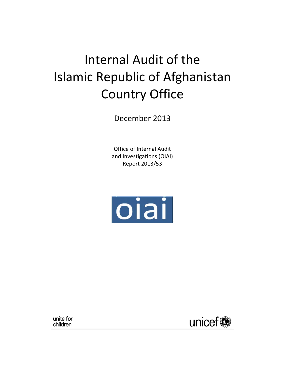# Internal Audit of the Islamic Republic of Afghanistan Country Office

December 2013

Office of Internal Audit and Investigations (OIAI) Report 2013/53



unite for children

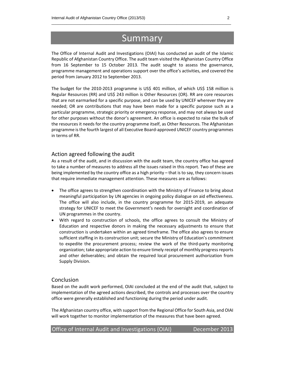## Summary

The Office of Internal Audit and Investigations (OIAI) has conducted an audit of the Islamic Republic of Afghanistan Country Office. The audit team visited the Afghanistan Country Office from 16 September to 15 October 2013. The audit sought to assess the governance, programme management and operations support over the office's activities, and covered the period from January 2012 to September 2013.

The budget for the 2010‐2013 programme is US\$ 401 million, of which US\$ 158 million is Regular Resources (RR) and US\$ 243 million is Other Resources (OR). RR are core resources that are not earmarked for a specific purpose, and can be used by UNICEF wherever they are needed; OR are contributions that may have been made for a specific purpose such as a particular programme, strategic priority or emergency response, and may not always be used for other purposes without the donor's agreement. An office is expected to raise the bulk of the resources it needs for the country programme itself, as Other Resources. The Afghanistan programme isthe fourth largest of all Executive Board‐approved UNICEF country programmes in terms of RR.

## Action agreed following the audit

As a result of the audit, and in discussion with the audit team, the country office has agreed to take a number of measures to address all the issues raised in this report. Two of these are being implemented by the country office as a high priority – that is to say, they concern issues that require immediate management attention. These measures are as follows:

- The office agrees to strengthen coordination with the Ministry of Finance to bring about meaningful participation by UN agencies in ongoing policy dialogue on aid effectiveness. The office will also include, in the country programme for 2015‐2019, an adequate strategy for UNICEF to meet the Government's needs for oversight and coordination of UN programmes in the country.
- With regard to construction of schools, the office agrees to consult the Ministry of Education and respective donors in making the necessary adjustments to ensure that construction is undertaken within an agreed timeframe. The office also agrees to ensure sufficient staffing in its construction unit; secure the Ministry of Education's commitment to expedite the procurement process; review the work of the third-party monitoring organization; take appropriate action to ensure timely receipt of monthly progressreports and other deliverables; and obtain the required local procurement authorization from Supply Division.

## Conclusion

Based on the audit work performed, OIAI concluded at the end of the audit that, subject to implementation of the agreed actions described, the controls and processes over the country office were generally established and functioning during the period under audit.

The Afghanistan country office, with support from the Regional Office for South Asia, and OIAI will work together to monitor implementation of the measures that have been agreed.

| Office of Internal Audit and Investigations (OIAI)<br>December 2013 |
|---------------------------------------------------------------------|
|---------------------------------------------------------------------|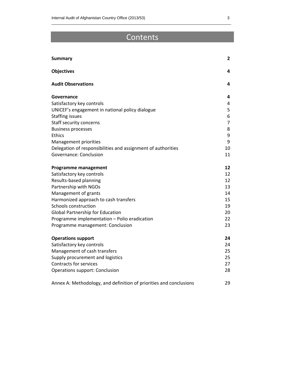## Contents

\_\_\_\_\_\_\_\_\_\_\_\_\_\_\_\_\_\_\_\_\_\_\_\_\_\_\_\_\_\_\_\_\_\_\_\_\_\_\_\_\_\_\_\_\_\_\_\_\_\_\_\_\_\_\_\_\_\_\_\_\_\_\_\_\_\_\_\_\_\_\_\_\_\_\_\_\_\_\_\_\_\_

| <b>Summary</b>                                                     | $\mathbf{2}$   |
|--------------------------------------------------------------------|----------------|
| <b>Objectives</b>                                                  | 4              |
| <b>Audit Observations</b>                                          | 4              |
| Governance                                                         | 4              |
| Satisfactory key controls                                          | 4              |
| UNICEF's engagement in national policy dialogue                    | 5              |
| <b>Staffing issues</b>                                             | 6              |
| Staff security concerns                                            | $\overline{7}$ |
| <b>Business processes</b>                                          | 8              |
| <b>Ethics</b>                                                      | 9              |
| Management priorities                                              | 9              |
| Delegation of responsibilities and assignment of authorities       | 10             |
| Governance: Conclusion                                             | 11             |
| <b>Programme management</b>                                        | 12             |
| Satisfactory key controls                                          | 12             |
| Results-based planning                                             | 12             |
| Partnership with NGOs                                              | 13             |
| Management of grants                                               | 14             |
| Harmonized approach to cash transfers                              | 15             |
| Schools construction                                               | 19             |
| <b>Global Partnership for Education</b>                            | 20             |
| Programme implementation - Polio eradication                       | 22             |
| Programme management: Conclusion                                   | 23             |
| <b>Operations support</b>                                          | 24             |
| Satisfactory key controls                                          | 24             |
| Management of cash transfers                                       | 25             |
| Supply procurement and logistics                                   | 25             |
| <b>Contracts for services</b>                                      | 27             |
| <b>Operations support: Conclusion</b>                              | 28             |
| Annex A: Methodology, and definition of priorities and conclusions | 29             |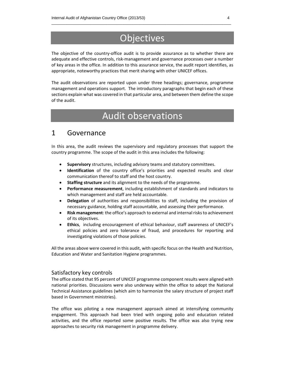## **Objectives**

\_\_\_\_\_\_\_\_\_\_\_\_\_\_\_\_\_\_\_\_\_\_\_\_\_\_\_\_\_\_\_\_\_\_\_\_\_\_\_\_\_\_\_\_\_\_\_\_\_\_\_\_\_\_\_\_\_\_\_\_\_\_\_\_\_\_\_\_\_\_\_\_\_\_\_\_\_\_\_\_\_\_

The objective of the country-office audit is to provide assurance as to whether there are adequate and effective controls, risk‐management and governance processes over a number of key areas in the office. In addition to this assurance service, the audit report identifies, as appropriate, noteworthy practices that merit sharing with other UNICEF offices.

The audit observations are reported upon under three headings; governance, programme management and operations support. The introductory paragraphs that begin each of these sections explain what was covered in that particular area, and between them define the scope of the audit.

## Audit observations

## 1 Governance

In this area, the audit reviews the supervisory and regulatory processes that support the country programme. The scope of the audit in this area includes the following:

- **Supervisory** structures, including advisory teams and statutory committees.
- **Identification** of the country office's priorities and expected results and clear communication thereof to staff and the host country.
- **Staffing structure** and its alignment to the needs of the programme.
- **Performance measurement**, including establishment of standards and indicators to which management and staff are held accountable.
- **Delegation** of authorities and responsibilities to staff, including the provision of necessary guidance, holding staff accountable, and assessing their performance.
- **Risk management**: the office's approach to external and internal risksto achievement of its objectives.
- **Ethics**, including encouragement of ethical behaviour, staff awareness of UNICEF's ethical policies and zero tolerance of fraud, and procedures for reporting and investigating violations of those policies.

All the areas above were covered in this audit, with specific focus on the Health and Nutrition, Education and Water and Sanitation Hygiene programmes.

## Satisfactory key controls

The office stated that 95 percent of UNICEF programme component results were aligned with national priorities. Discussions were also underway within the office to adopt the National Technical Assistance guidelines (which aim to harmonize the salary structure of project staff based in Government ministries).

The office was piloting a new management approach aimed at intensifying community engagement. This approach had been tried with ongoing polio and education related activities, and the office reported some positive results. The office was also trying new approaches to security risk management in programme delivery.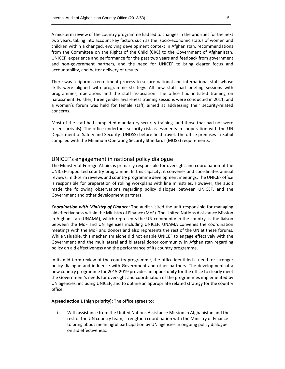A mid‐term review of the country programme had led to changes in the priorities for the next two years, taking into account key factors such as the socio‐economic status of women and children within a changed, evolving development context in Afghanistan, recommendations from the Committee on the Rights of the Child (CRC) to the Government of Afghanistan, UNICEF experience and performance for the past two years and feedback from government and non‐government partners, and the need for UNICEF to bring clearer focus and accountability, and better delivery of results.

There was a rigorous recruitment process to secure national and international staff whose skills were aligned with programme strategy. All new staff had briefing sessions with programmes, operations and the staff association. The office had initiated training on harassment. Further, three gender awareness training sessions were conducted in 2011, and a women's forum was held for female staff, aimed at addressing their security‐related concerns.

Most of the staff had completed mandatory security training (and those that had not were recent arrivals). The office undertook security risk assessments in cooperation with the UN Department of Safety and Security (UNDSS) before field travel. The office premises in Kabul complied with the Minimum Operating Security Standards (MOSS) requirements.

### UNICEF's engagement in national policy dialogue

The Ministry of Foreign Affairs is primarily responsible for oversight and coordination of the UNICEF‐supported country programme. In this capacity, it convenes and coordinates annual reviews, mid-term reviews and country programme development meetings. The UNICEF office is responsible for preparation of rolling workplans with line ministries. However, the audit made the following observations regarding policy dialogue between UNICEF, and the Government and other development partners.

*Coordination with Ministry of Finance:* The audit visited the unit responsible for managing aid effectiveness within the Ministry of Finance (MoF). The United Nations Assistance Mission in Afghanistan (UNAMA), which represents the UN community in the country, is the liaison between the MoF and UN agencies including UNICEF. UNAMA convenes the coordination meetings with the MoF and donors and also represents the rest of the UN at these forums. While valuable, this mechanism alone did not enable UNICEF to engage effectively with the Government and the multilateral and bilateral donor community in Afghanistan regarding policy on aid effectiveness and the performance of its country programme.

In its mid‐term review of the country programme, the office identified a need for stronger policy dialogue and influence with Government and other partners. The development of a new country programme for 2015‐2019 provides an opportunity for the office to clearly meet the Government's needs for oversight and coordination of the programmes implemented by UN agencies, including UNICEF, and to outline an appropriate related strategy for the country office.

**Agreed action 1 (high priority):** The office agrees to:

i. With assistance from the United Nations Assistance Mission in Afghanistan and the rest of the UN country team, strengthen coordination with the Ministry of Finance to bring about meaningful participation by UN agencies in ongoing policy dialogue on aid effectiveness.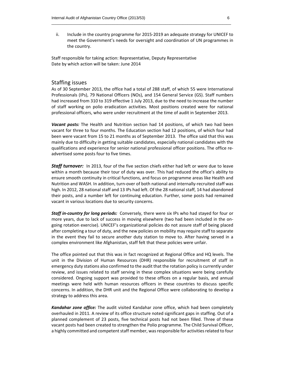ii. Include in the country programme for 2015‐2019 an adequate strategy for UNICEF to meet the Government's needs for oversight and coordination of UN programmes in the country.

Staff responsible for taking action: Representative, Deputy Representative Date by which action will be taken: June 2014

### Staffing issues

As of 30 September 2013, the office had a total of 288 staff, of which 55 were International Professionals (IPs), 79 National Officers (NOs), and 154 General Service (GS). Staff numbers had increased from 310 to 319 effective 1 July 2013, due to the need to increase the number of staff working on polio eradication activities. Most positions created were for national professional officers, who were under recruitment at the time of audit in September 2013.

*Vacant posts:* The Health and Nutrition section had 14 positions, of which two had been vacant for three to four months. The Education section had 12 positions, of which four had been were vacant from 15 to 21 months as of September 2013. The office said that this was mainly due to difficulty in getting suitable candidates, especially national candidates with the qualifications and experience for senior national professional officer positions. The office re‐ advertised some posts four to five times.

**Staff turnover:** In 2013, four of the five section chiefs either had left or were due to leave within a month because their tour of duty was over. This had reduced the office's ability to ensure smooth continuity in critical functions, and focus on programme areas like Health and Nutrition and WASH. In addition, turn‐over of both national and internally‐recruited staff was high. In 2012, 28 national staff and 13 IPs had left. Of the 28 national staff, 14 had abandoned their posts, and a number left for continuing education. Further, some posts had remained vacant in various locations due to security concerns.

*Staff in‐country for long periods:* Conversely, there were six IPs who had stayed for four or more years, due to lack of success in moving elsewhere (two had been included in the on‐ going rotation exercise). UNICEF's organizational policies do not assure staff of being placed after completing a tour of duty, and the new policies on mobility may require staff to separate in the event they fail to secure another duty station to move to. After having served in a complex environment like Afghanistan, staff felt that these policies were unfair.

The office pointed out that this was in fact recognized at Regional Office and HQ levels. The unit in the Division of Human Resources (DHR) responsible for recruitment of staff in emergency duty stations also confirmed to the audit that the rotation policy is currently under review, and issues related to staff serving in these complex situations were being carefully considered. Ongoing support was provided to these offices on a regular basis, and annual meetings were held with human resources officers in these countries to discuss specific concerns. In addition, the DHR unit and the Regional Office were collaborating to develop a strategy to address this area.

*Kandahar zone office:* The audit visited Kandahar zone office, which had been completely overhauled in 2011. A review of its office structure noted significant gaps in staffing. Out of a planned complement of 23 posts, five technical posts had not been filled. Three of these vacant posts had been created to strengthen the Polio programme. The Child Survival Officer, a highly committed and competent staff member, was responsible for activities related to four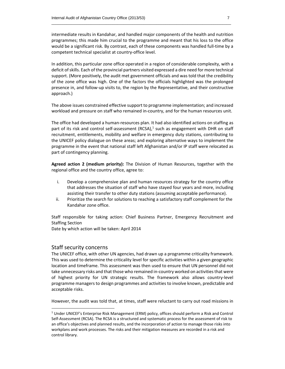intermediate results in Kandahar, and handled major components of the health and nutrition programmes; this made him crucial to the programme and meant that his loss to the office would be a significant risk. By contrast, each of these components was handled full‐time by a competent technical specialist at country‐office level.

In addition, this particular zone office operated in a region of considerable complexity, with a deficit of skills. Each of the provincial partners visited expressed a dire need for more technical support. (More positively, the audit met government officials and was told that the credibility of the zone office was high. One of the factors the officials highlighted was the prolonged presence in, and follow‐up visits to, the region by the Representative, and their constructive approach.)

The above issues constrained effective support to programme implementation; and increased workload and pressure on staff who remained in‐country, and for the human resources unit.

The office had developed a human‐resources plan. It had also identified actions on staffing as part of its risk and control self-assessment (RCSA), $<sup>1</sup>$  such as engagement with DHR on staff</sup> recruitment, entitlements, mobility and welfare in emergency duty stations, contributing to the UNICEF policy dialogue on these areas; and exploring alternative ways to implement the programme in the event that national staff left Afghanistan and/or IP staff were relocated as part of contingency planning.

**Agreed action 2 (medium priority):** The Division of Human Resources, together with the regional office and the country office, agree to:

- i. Develop a comprehensive plan and human resources strategy for the country office that addresses the situation of staff who have stayed four years and more, including assisting their transfer to other duty stations (assuming acceptable performance).
- ii. Prioritize the search for solutions to reaching a satisfactory staff complement for the Kandahar zone office.

Staff responsible for taking action: Chief Business Partner, Emergency Recruitment and Staffing Section

Date by which action will be taken: April 2014

## Staff security concerns

The UNICEF office, with other UN agencies, had drawn up a programme criticality framework. This was used to determine the criticality level for specific activities within a given geographic location and timeframe. This assessment was then used to ensure that UN personnel did not take unnecessary risks and that those who remained in‐country worked on activitiesthat were of highest priority for UN strategic results. The framework also allows country‐level programme managers to design programmes and activities to involve known, predictable and acceptable risks.

However, the audit was told that, at times, staff were reluctant to carry out road missions in

<sup>1</sup> Under UNICEF's Enterprise Risk Management (ERM) policy, offices should perform a Risk and Control Self‐Assessment (RCSA). The RCSA is a structured and systematic process for the assessment of risk to an office's objectives and planned results, and the incorporation of action to manage those risks into workplans and work processes. The risks and their mitigation measures are recorded in a risk and control library.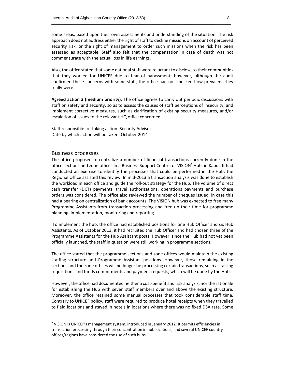some areas, based upon their own assessments and understanding of the situation. The risk approach does not address either the right of staff to decline missions on account of perceived security risk, or the right of management to order such missions when the risk has been assessed as acceptable. Staff also felt that the compensation in case of death was not commensurate with the actual loss in life earnings.

\_\_\_\_\_\_\_\_\_\_\_\_\_\_\_\_\_\_\_\_\_\_\_\_\_\_\_\_\_\_\_\_\_\_\_\_\_\_\_\_\_\_\_\_\_\_\_\_\_\_\_\_\_\_\_\_\_\_\_\_\_\_\_\_\_\_\_\_\_\_\_\_\_\_\_\_\_\_\_\_\_\_

Also, the office stated that some national staff were reluctant to disclose to their communities that they worked for UNICEF due to fear of harassment; however, although the audit confirmed these concerns with some staff, the office had not checked how prevalent they really were.

**Agreed action 3 (medium priority):** The office agrees to carry out periodic discussions with staff on safety and security, so as to assess the causes of staff perceptions of insecurity; and implement corrective measures, such as clarification of existing security measures, and/or escalation of issues to the relevant HQ office concerned.

Staff responsible for taking action: Security Advisor Date by which action will be taken: October 2014

#### Business processes

The office proposed to centralize a number of financial transactions currently done in the office sections and zone offices in a Business Support Centre, or VISION<sup>2</sup> Hub, in Kabul. It had conducted an exercise to identify the processes that could be performed in the Hub; the Regional Office assisted this review. In mid‐2013 a transaction analysis was done to establish the workload in each office and guide the roll‐out strategy for the Hub. The volume of direct cash transfer (DCT) payments, travel authorizations, operations payments and purchase orders was considered. The office also reviewed the number of cheques issued, in case this had a bearing on centralization of bank accounts. The VISION hub was expected to free many Programme Assistants from transaction processing and free up their time for programme planning, implementation, monitoring and reporting.

To implement the hub, the office had established positions for one Hub Officer and six Hub Assistants. As of October 2013, it had recruited the Hub Officer and had chosen three of the Programme Assistants for the Hub Assistant posts. However, since the Hub had not yet been officially launched, the staff in question were still working in programme sections.

The office stated that the programme sections and zone offices would maintain the existing staffing structure and Programme Assistant positions. However, those remaining in the sections and the zone offices will no longer be processing certain transactions, such as raising requisitions and funds commitments and payment requests, which will be done by the Hub.

However, the office had documented neither a cost-benefit and risk analysis, nor the rationale for establishing the Hub with seven staff members over and above the existing structure. Moreover, the office retained some manual processes that took considerable staff time. Contrary to UNICEF policy, staff were required to produce hotel receipts when they travelled to field locations and stayed in hotels in locations where there was no fixed DSA rate. Some

<sup>&</sup>lt;sup>2</sup> VISION is UNICEF's management system, introduced in January 2012. It permits efficiencies in transaction processing through their concentration in hub locations, and several UNICEF country offices/regions have considered the use of such hubs.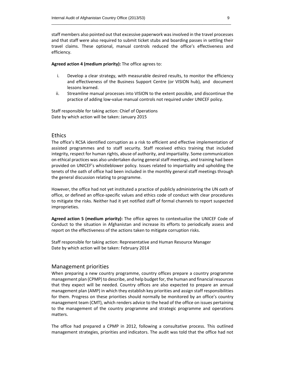staff members also pointed out that excessive paperwork wasinvolved in the travel processes and that staff were also required to submit ticket stubs and boarding passes in settling their travel claims. These optional, manual controls reduced the office's effectiveness and efficiency.

#### **Agreed action 4 (medium priority):** The office agrees to:

- i. Develop a clear strategy, with measurable desired results, to monitor the efficiency and effectiveness of the Business Support Centre (or VISION hub), and document lessons learned.
- ii. Streamline manual processes into VISION to the extent possible, and discontinue the practice of adding low‐value manual controls not required under UNICEF policy.

Staff responsible for taking action: Chief of Operations Date by which action will be taken: January 2015

## **Ethics**

The office's RCSA identified corruption as a risk to efficient and effective implementation of assisted programmes and to staff security. Staff received ethics training that included integrity, respect for human rights, abuse of authority, and impartiality. Some communication on ethical practices was also undertaken during general staff meetings, and training had been provided on UNICEF's whistleblower policy. Issues related to impartiality and upholding the tenets of the oath of office had been included in the monthly general staff meetings through the general discussion relating to programme.

However, the office had not yet instituted a practice of publicly administering the UN oath of office, or defined an office‐specific values and ethics code of conduct with clear procedures to mitigate the risks. Neither had it yet notified staff of formal channels to report suspected improprieties.

**Agreed action 5 (medium priority):** The office agrees to contextualize the UNICEF Code of Conduct to the situation in Afghanistan and increase its efforts to periodically assess and report on the effectiveness of the actions taken to mitigate corruption risks.

Staff responsible for taking action: Representative and Human Resource Manager Date by which action will be taken: February 2014

### Management priorities

When preparing a new country programme, country offices prepare a country programme management plan (CPMP) to describe, and help budget for, the human and financialresources that they expect will be needed. Country offices are also expected to prepare an annual management plan (AMP) in which they establish key priorities and assign staff responsibilities for them. Progress on these priorities should normally be monitored by an office's country management team (CMT), which renders advice to the head of the office on issues pertaining to the management of the country programme and strategic programme and operations matters.

The office had prepared a CPMP in 2012, following a consultative process. This outlined management strategies, priorities and indicators. The audit was told that the office had not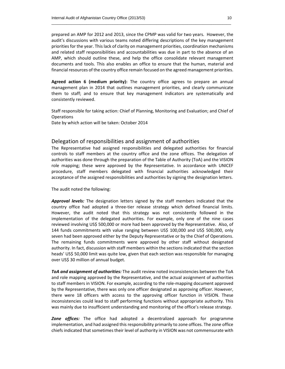prepared an AMP for 2012 and 2013, since the CPMP was valid for two years. However, the audit's discussions with various teams noted differing descriptions of the key management priorities for the year. This lack of clarity on management priorities, coordination mechanisms and related staff responsibilities and accountabilities was due in part to the absence of an AMP, which should outline these, and help the office consolidate relevant management documents and tools. This also enables an office to ensure that the human, material and financial resources of the country office remain focused on the agreed management priorities.

**Agreed action 6 (medium priority):** The country office agrees to prepare an annual management plan in 2014 that outlines management priorities, and clearly communicate them to staff; and to ensure that key management indicators are systematically and consistently reviewed.

Staff responsible for taking action: Chief of Planning, Monitoring and Evaluation; and Chief of **Operations** 

Date by which action will be taken: October 2014

## Delegation of responsibilities and assignment of authorities

The Representative had assigned responsibilities and delegated authorities for financial controls to staff members at the country office and the zone offices. The delegation of authorities was done through the preparation of the Table of Authority (ToA) and the VISION role mapping; these were approved by the Representative. In accordance with UNICEF procedure, staff members delegated with financial authorities acknowledged their acceptance of the assigned responsibilities and authorities by signing the designation letters.

The audit noted the following:

*Approval levels:* The designation letters signed by the staff members indicated that the country office had adopted a three-tier release strategy which defined financial limits. However, the audit noted that this strategy was not consistently followed in the implementation of the delegated authorities. For example, only one of the nine cases reviewed involving US\$ 500,000 or more had been approved by the Representative. Also, of 144 funds commitments with value ranging between US\$ 100,000 and US\$ 500,000, only seven had been approved either by the Deputy Representative or by the Chief of Operations. The remaining funds commitments were approved by other staff without designated authority. In fact, discussion with staff members within the sections indicated that the section heads' US\$ 50,000 limit was quite low, given that each section was responsible for managing over US\$ 30 million of annual budget.

*ToA and assignment of authorities:* The audit review noted inconsistencies between the ToA and role mapping approved by the Representative, and the actual assignment of authorities to staff members in VISION. For example, according to the role‐mapping document approved by the Representative, there was only one officer designated as approving officer. However, there were 18 officers with access to the approving officer function in VISION. These inconsistencies could lead to staff performing functions without appropriate authority. This was mainly due to insufficient understanding and monitoring of the office's release strategy.

*Zone offices:* The office had adopted a decentralized approach for programme implementation, and had assigned this responsibility primarily to zone offices. The zone office chiefs indicated that sometimes their level of authority in VISION was not commensurate with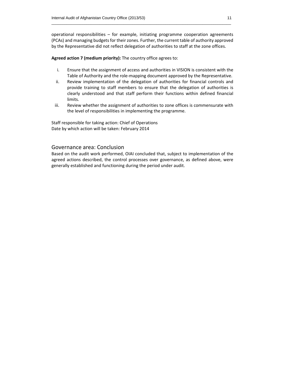operational responsibilities  $-$  for example, initiating programme cooperation agreements (PCAs) and managing budgets for their zones. Further, the current table of authority approved by the Representative did not reflect delegation of authorities to staff at the zone offices.

**Agreed action 7 (medium priority):** The country office agrees to:

- i. Ensure that the assignment of access and authorities in VISION is consistent with the Table of Authority and the role‐mapping document approved by the Representative.
- ii. Review implementation of the delegation of authorities for financial controls and provide training to staff members to ensure that the delegation of authorities is clearly understood and that staff perform their functions within defined financial limits.
- iii. Review whether the assignment of authorities to zone offices is commensurate with the level of responsibilities in implementing the programme.

Staff responsible for taking action: Chief of Operations Date by which action will be taken: February 2014

## Governance area: Conclusion

Based on the audit work performed, OIAI concluded that, subject to implementation of the agreed actions described, the control processes over governance, as defined above, were generally established and functioning during the period under audit.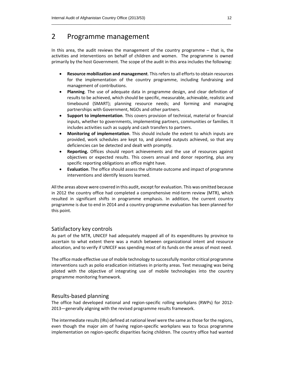## 2 Programme management

In this area, the audit reviews the management of the country programme – that is, the activities and interventions on behalf of children and women. The programme is owned primarily by the host Government. The scope of the audit in this area includes the following:

- **Resource mobilization and management**. Thisrefers to all efforts to obtain resources for the implementation of the country programme, including fundraising and management of contributions.
- **Planning**. The use of adequate data in programme design, and clear definition of results to be achieved, which should be specific, measurable, achievable, realistic and timebound (SMART); planning resource needs; and forming and managing partnerships with Government, NGOs and other partners.
- **Support to implementation**. This covers provision of technical, material or financial inputs, whether to governments, implementing partners, communities or families. It includes activities such as supply and cash transfers to partners.
- **Monitoring of implementation**. This should include the extent to which inputs are provided, work schedules are kept to, and planned outputs achieved, so that any deficiencies can be detected and dealt with promptly.
- **Reporting.** Offices should report achievements and the use of resources against objectives or expected results. This covers annual and donor reporting, plus any specific reporting obligations an office might have.
- **Evaluation**. The office should assess the ultimate outcome and impact of programme interventions and identify lessons learned.

Allthe areas above were covered in this audit, except for evaluation. This was omitted because in 2012 the country office had completed a comprehensive mid‐term review (MTR), which resulted in significant shifts in programme emphasis. In addition, the current country programme is due to end in 2014 and a country‐programme evaluation has been planned for this point.

## Satisfactory key controls

As part of the MTR, UNICEF had adequately mapped all of its expenditures by province to ascertain to what extent there was a match between organizational intent and resource allocation, and to verify if UNICEF was spending most of its funds on the areas of most need.

The office made effective use of mobile technology to successfully monitor critical programme interventions such as polio eradication initiatives in priority areas. Text messaging was being piloted with the objective of integrating use of mobile technologies into the country programme monitoring framework.

## Results‐based planning

The office had developed national and region-specific rolling workplans (RWPs) for 2012-2013—generally aligning with the revised programme results framework.

The intermediate results(IRs) defined at national level were the same asthose for the regions, even though the major aim of having region‐specific workplans was to focus programme implementation on region‐specific disparities facing children. The country office had wanted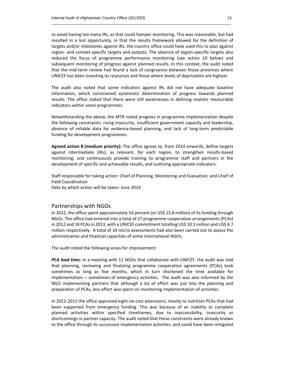to avoid having too many IRs, as that could hamper monitoring. This was reasonable, but had resulted in a lost opportunity, in that the results framework allowed for the definition of targets and/or milestones against IRs; the country office could have used this to plan against region‐ and context‐specific targets and outputs. The absence of region‐specific targets also reduced the focus of programme performance monitoring (see action 10 below) and subsequent monitoring of progress against planned results. In this context, the audit noted that the mid‐term review had found a lack of congruence between those provinces where UNICEF has been investing its resources and those where levels of deprivation are highest.

The audit also noted that some indicators against IRs did not have adequate baseline information, which constrained systematic determination of progress towards planned results. The office stated that there were still weaknesses in defining realistic measurable indicators within some programmes.

Notwithstanding the above, the MTR noted progress in programme implementation despite the following constraints: rising insecurity, insufficient government capacity and leadership, absence of reliable data for evidence‐based planning, and lack of long‐term predictable funding for development programmes.

**Agreed action 8 (medium priority):** The office agrees to, from 2014 onwards, define targets against intermediate (IRs), as relevant, for each region, to strengthen results‐based monitoring; and continuously provide training to programme staff and partners in the development of specific and achievable results, and outlining appropriate indicators.

Staff responsible for taking action: Chief of Planning, Monitoring and Evaluation; and Chief of Field Coordination Date by which action will be taken: June 2014

### Partnerships with NGOs

In 2012, the office spent approximately 54 percent (or US\$ 15.8 million) of its funding through NGOs. The office had entered into a total of 27 programme cooperation arrangements (PCAs) in 2012 and 18 PCAsin 2013, with a UNICEF commitment totalling US\$ 10.1 million and US\$ 4.7 million respectively. A total of 34 micro‐assessments had also been carried out to assess the administrative and financial capacities of some international NGOs.

The audit noted the following areas for improvement:

*PCA lead time:* In a meeting with 11 NGOs that collaborate with UNICEF, the audit was told that planning, reviewing and finalizing programme cooperation agreements (PCAs) took sometimes as long as five months, which in turn shortened the time available for implementation – sometimes of emergency activities. The audit was also informed by the NGO implementing partners that although a lot of effort was put into the planning and preparation of PCAs, less effort was spent on monitoring implementation of activities.

In 2012-2013 the office approved eight no-cost extensions, mostly to nutrition PCAs that had been supported from emergency funding. This was because of an inability to complete planned activities within specified timeframes, due to inaccessibility, insecurity or shortcomings in partner capacity. The audit noted that these constraints were already known to the office through its successive implementation activities, and could have been mitigated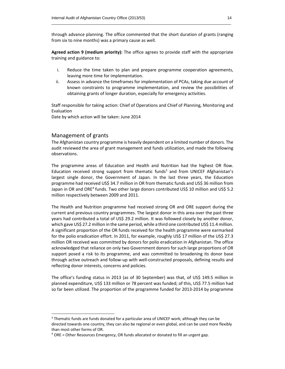through advance planning. The office commented that the short duration of grants (ranging from six to nine months) was a primary cause as well.

\_\_\_\_\_\_\_\_\_\_\_\_\_\_\_\_\_\_\_\_\_\_\_\_\_\_\_\_\_\_\_\_\_\_\_\_\_\_\_\_\_\_\_\_\_\_\_\_\_\_\_\_\_\_\_\_\_\_\_\_\_\_\_\_\_\_\_\_\_\_\_\_\_\_\_\_\_\_\_\_\_\_

**Agreed action 9 (medium priority):** The office agrees to provide staff with the appropriate training and guidance to:

- i. Reduce the time taken to plan and prepare programme cooperation agreements, leaving more time for implementation.
- ii. Assess in advance the timeframes for implementation of PCAs, taking due account of known constraints to programme implementation, and review the possibilities of obtaining grants of longer duration, especially for emergency activities.

Staff responsible for taking action: Chief of Operations and Chief of Planning, Monitoring and Evaluation

Date by which action will be taken: June 2014

## Management of grants

The Afghanistan country programme is heavily dependent on a limited number of donors. The audit reviewed the area of grant management and funds utilization, and made the following observations.

The programme areas of Education and Health and Nutrition had the highest OR flow. Education received strong support from thematic funds<sup>3</sup> and from UNICEF Afghanistan's largest single donor, the Government of Japan. In the last three years, the Education programme had received US\$ 34.7 million in OR from thematic funds and US\$ 36 million from Japan in OR and ORE<sup>4</sup> funds. Two other large donors contributed US\$ 10 million and US\$ 5.2 million respectively between 2009 and 2011.

The Health and Nutrition programme had received strong OR and ORE support during the current and previous country programmes. The largest donor in this area over the past three years had contributed a total of US\$ 29.2 million. It was followed closely by another donor, which gave US\$ 27.2 million in the same period, while a third one contributed US\$ 11.4 million. A significant proportion of the OR funds received for the health programme were earmarked for the polio eradication effort. In 2011, for example, roughly US\$ 17 million of the US\$ 27.3 million OR received was committed by donors for polio eradication in Afghanistan. The office acknowledged that reliance on only two Government donors for such large proportions of OR support posed a risk to its programme, and was committed to broadening its donor base through active outreach and follow‐up with well‐constructed proposals, defining results and reflecting donor interests, concerns and policies.

The office's funding status in 2013 (as of 30 September) was that, of US\$ 149.5 million in planned expenditure, US\$ 133 million or 78 percent was funded; of this, US\$ 77.5 million had so far been utilized. The proportion of the programme funded for 2013-2014 by programme

<sup>&</sup>lt;sup>3</sup> Thematic funds are funds donated for a particular area of UNICEF work; although they can be directed towards one country, they can also be regional or even global, and can be used more flexibly than most other forms of OR.

 $4$  ORE = Other Resources Emergency, OR funds allocated or donated to fill an urgent gap.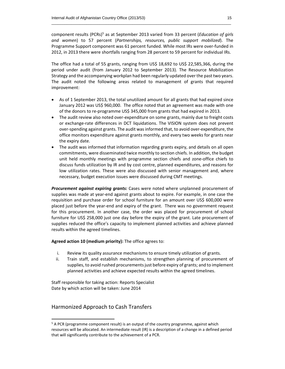component results (PCRs)5 as at September 2013 varied from 33 percent (*Education of girls and women*) to 57 percent (*Partnerships, resources, public support mobilized*). The Programme Support component was 61 percent funded. While most IRs were over‐funded in 2012, in 2013 there were shortfalls ranging from 28 percent to 59 percent for individual IRs.

The office had a total of 55 grants, ranging from US\$ 18,692 to US\$ 22,585,366, during the period under audit (from January 2012 to September 2013). The Resource Mobilization Strategy and the accompanying workplan had been regularly updated over the past two years. The audit noted the following areas related to management of grants that required improvement:

- As of 1 September 2013, the total unutilized amount for all grants that had expired since January 2012 was US\$ 960,000. The office noted that an agreement was made with one of the donors to re‐programme US\$ 345,000 from grants that had expired in 2013.
- The audit review also noted over-expenditure on some grants, mainly due to freight costs or exchange‐rate differences in DCT liquidations. The VISION system does not prevent over‐spending against grants. The audit wasinformed that, to avoid over‐expenditure, the office monitors expenditure against grants monthly, and every two weeks for grants near the expiry date.
- The audit was informed that information regarding grants expiry, and details on all open commitments, were disseminated twice monthly to section chiefs. In addition, the budget unit held monthly meetings with programme section chiefs and zone‐office chiefs to discuss funds utilization by IR and by cost centre, planned expenditures, and reasons for low utilization rates. These were also discussed with senior management and, where necessary, budget execution issues were discussed during CMT meetings.

*Procurement against expiring grants:* Cases were noted where unplanned procurement of supplies was made at year-end against grants about to expire. For example, in one case the requisition and purchase order for school furniture for an amount over US\$ 600,000 were placed just before the year‐end and expiry of the grant. There was no government request for this procurement. In another case, the order was placed for procurement of school furniture for US\$ 258,000 just one day before the expiry of the grant. Late procurement of supplies reduced the office's capacity to implement planned activities and achieve planned results within the agreed timelines.

**Agreed action 10 (medium priority):** The office agrees to:

- i. Review its quality assurance mechanisms to ensure timely utilization of grants.
- ii. Train staff, and establish mechanisms, to strengthen planning of procurement of supplies, to avoid rushed procurements just before expiry of grants; and to implement planned activities and achieve expected results within the agreed timelines.

Staff responsible for taking action: Reports Specialist Date by which action will be taken: June 2014

## Harmonized Approach to Cash Transfers

<sup>&</sup>lt;sup>5</sup> A PCR (programme component result) is an output of the country programme, against which resources will be allocated. An intermediate result (IR) is a description of a change in a defined period that will significantly contribute to the achievement of a PCR.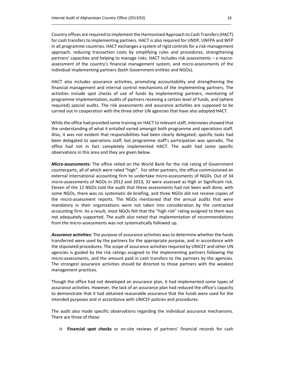Country offices are required to implement the Harmonized Approach to Cash Transfers(HACT) for cash transfers to implementing partners. HACT is also required for UNDP, UNFPA and WFP in all programme countries. HACT exchanges a system of rigid controls for a risk-management approach, reducing transaction costs by simplifying rules and procedures, strengthening partners' capacities and helping to manage risks. HACT includes risk assessments – a macro‐ assessment of the country's financial management system, and micro‐assessments of the individual implementing partners (both Government entities and NGOs).

HACT also includes assurance activities, promoting accountability and strengthening the financial management and internal control mechanisms of the implementing partners. The activities include spot checks of use of funds by implementing partners, monitoring of programme implementation, audits of partners receiving a certain level of funds, and (where required) special audits. The risk assessments and assurance activities are supposed to be carried out in cooperation with the three other UN agencies that have also adopted HACT.

While the office had provided some training on HACT to relevant staff, interviews showed that the understanding of what it entailed varied amongst both programme and operations staff. Also, it was not evident that responsibilities had been clearly delegated; specific tasks had been delegated to operations staff, but programme staff's participation was sporadic. The office had not in fact completely implemented HACT. The audit had some specific observations in this area and they are given below.

*Micro‐assessments:* The office relied on the World Bank for the risk rating of Government counterparts, all of which were rated "high". For other partners, the office commissioned an external international accounting firm to undertake micro-assessments of NGOs. Out of 34 micro‐assessments of NGOs in 2012 and 2013, 32 were assessed as High or Significant risk. Eleven of the 12 NGOs told the audit that these assessments had not been well done; with some NGOs, there was no systematic de‐briefing, and three NGOs did not receive copies of the micro‐assessment reports. The NGOs mentioned that the annual audits that were mandatory in their organizations were not taken into consideration by the contracted accounting firm. As a result, most NGOs felt that the "high risk" rating assigned to them was not adequately supported. The audit also noted that implementation of recommendations from the micro‐assessments was not systematically followed up.

*Assurance activities:* The purpose of assurance activities was to determine whether the funds transferred were used by the partners for the appropriate purpose, and in accordance with the stipulated procedures. The scope of assurance activities required by UNICEF and other UN agencies is guided by the risk ratings assigned to the implementing partners following the micro‐assessments, and the amount paid in cash transfers to the partners by the agencies. The strongest assurance activities should be directed to those partners with the weakest management practices.

Though the office had not developed an assurance plan, it had implemented some types of assurance activities. However, the lack of an assurance plan had reduced the office's capacity to demonstrate that it had obtained reasonable assurance that the funds were used for the intended purposes and in accordance with UNICEF policies and procedures.

The audit also made specific observations regarding the individual assurance mechanisms. There are three of these:

o **Financial spot checks** or on‐site reviews of partners' financial records for cash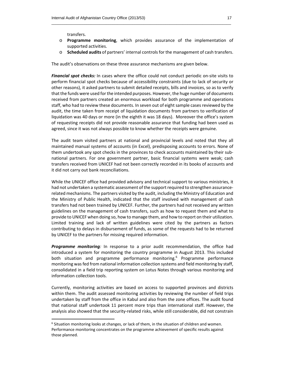transfers.

- o **Programme monitoring**, which provides assurance of the implementation of supported activities.
- o **Scheduled audits** of partners' internal controls for the management of cash transfers.

The audit's observations on these three assurance mechanisms are given below.

*Financial spot checks:* In cases where the office could not conduct periodic on‐site visits to perform financial spot checks because of accessibility constraints (due to lack of security or other reasons), it asked partners to submit detailed receipts, bills and invoices, so as to verify that the funds were used for the intended purposes. However, the huge number of documents received from partners created an enormous workload for both programme and operations staff, who had to review these documents. In seven out of eight sample cases reviewed by the audit, the time taken from receipt of liquidation documents from partners to verification of liquidation was 40 days or more (in the eighth it was 18 days). Moreover the office's system of requesting receipts did not provide reasonable assurance that funding had been used as agreed, since it was not always possible to know whether the receipts were genuine.

The audit team visited partners at national and provincial levels and noted that they all maintained manual systems of accounts (in Excel), predisposing accounts to errors. None of them undertook any spot checks in the provinces to check accounts maintained by their sub‐ national partners. For one government partner, basic financial systems were weak; cash transfers received from UNICEF had not been correctly recorded in its books of accounts and it did not carry out bank reconciliations.

While the UNICEF office had provided advisory and technical support to various ministries, it had not undertaken a systematic assessment of the support required to strengthen assurancerelated mechanisms. The partners visited by the audit, including the Ministry of Education and the Ministry of Public Health, indicated that the staff involved with management of cash transfers had not been trained by UNICEF. Further, the partners had not received any written guidelines on the management of cash transfers, such as how to request them and what to provide to UNICEF when doing so, how to manage them, and how to report on their utilization. Limited training and lack of written guidelines were cited by the partners as factors contributing to delays in disbursement of funds, as some of the requests had to be returned by UNICEF to the partners for missing required information.

*Programme monitoring:* In response to a prior audit recommendation, the office had introduced a system for monitoring the country programme in August 2013. This included both situation and programme performance monitoring.<sup>6</sup> Programme performance monitoring wasfed from national information collection systems and field monitoring by staff, consolidated in a field trip reporting system on Lotus Notes through various monitoring and information collection tools.

Currently, monitoring activities are based on access to supported provinces and districts within them. The audit assessed monitoring activities by reviewing the number of field trips undertaken by staff from the office in Kabul and also from the zone offices. The audit found that national staff undertook 11 percent more trips than international staff. However, the analysis also showed that the security-related risks, while still considerable, did not constrain

 $6$  Situation monitoring looks at changes, or lack of them, in the situation of children and women. Performance monitoring concentrates on the programme achievement of specific results against those planned.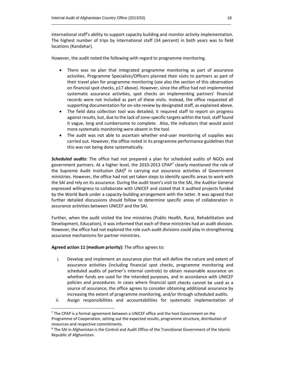international staff's ability to support capacity building and monitor activity implementation. The highest number of trips by international staff (34 percent) in both years was to field locations (Kandahar).

However, the audit noted the following with regard to programme monitoring.

- There was no plan that integrated programme monitoring as part of assurance activities. Programme Specialists/Officers planned their visits to partners as part of their travel plan for programme monitoring (see also the section of this observation on financial spot checks, p17 above). However, since the office had not implemented systematic assurance activities, spot checks on implementing partners' financial records were not included as part of these visits. Instead, the office requested all supporting documentation for on‐site review by designated staff, as explained above.
- The field data collection tool was detailed; it required staff to report on progress against results, but, due to the lack of zone-specific targets within the tool, staff found it vague, long and cumbersome to complete. Also, the indicators that would assist more systematic monitoring were absent in the tool.
- The audit was not able to ascertain whether end-user monitoring of supplies was carried out. However, the office noted in its programme performance guidelines that this was not being done systematically.

*Scheduled audits:* The office had not prepared a plan for scheduled audits of NGOs and government partners. At a higher level, the 2010-2013 CPAP<sup>7</sup> clearly mentioned the role of the Supreme Audit Institution  $(SA)$ <sup>8</sup> in carrying out assurance activities of Government ministries. However, the office had not yet taken steps to identify specific areas to work with the SAI and rely on its assurance. During the audit team's visit to the SAI, the Auditor General expressed willingness to collaborate with UNICEF and stated that it audited projects funded by the World Bank under a capacity-building arrangement with the latter. It was agreed that further detailed discussions should follow to determine specific areas of collaboration in assurance activities between UNICEF and the SAI.

Further, when the audit visited the line ministries (Public Health, Rural, Rehabilitation and Development, Education), it was informed that each of these ministries had an audit division. However, the office had not explored the role such audit divisions could play in strengthening assurance mechanisms for partner ministries.

## **Agreed action 11 (medium priority):** The office agrees to:

- i. Develop and implement an assurance plan that will define the nature and extent of assurance activities (including financial spot checks, programme monitoring and scheduled audits of partner's internal controls) to obtain reasonable assurance on whether funds are used for the intended purposes, and in accordance with UNICEF policies and procedures. In cases where financial spot checks cannot be used as a source of assurance, the office agrees to consider obtaining additional assurance by increasing the extent of programme monitoring, and/or through scheduled audits.
- ii. Assign responsibilities and accountabilities for systematic implementation of

 $<sup>7</sup>$  The CPAP is a formal agreement between a UNICEF office and the host Government on the</sup> Programme of Cooperation, setting out the expected results, programme structure, distribution of resources and respective commitments.

<sup>&</sup>lt;sup>8</sup> The SAI in Afghanistan is the Control and Audit Office of the Transitional Government of the Islamic Republic of Afghanistan.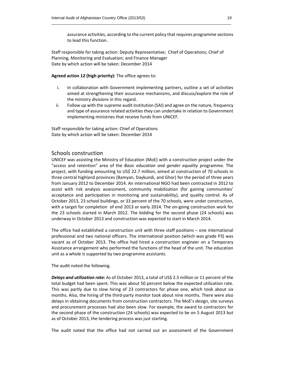assurance activities, according to the current policy that requires programme sections to lead this function.

Staff responsible for taking action: Deputy Representative; Chief of Operations; Chief of Planning, Monitoring and Evaluation; and Finance Manager Date by which action will be taken: December 2014

**Agreed action 12 (high priority):** The office agrees to:

- i. In collaboration with Government implementing partners, outline a set of activities aimed at strengthening their assurance mechanisms, and discuss/explore the role of the ministry divisions in this regard.
- ii. Follow up with the supreme audit institution (SAI) and agree on the nature, frequency and type of assurance related activities they can undertake in relation to Government implementing ministries that receive funds from UNICEF.

Staff responsible for taking action: Chief of Operations Date by which action will be taken: December 2014

## Schools construction

UNICEF was assisting the Ministry of Education (MoE) with a construction project under the "access and retention" area of the *Basic education and gender equality* programme. The project, with funding amounting to US\$ 22.7 million, aimed at construction of 70 schools in three central highland provinces (Bamyan, Daykundi, and Ghor) for the period of three years from January 2012 to December 2014. An international NGO had been contracted in 2012 to assist with risk analysis assessment, community mobilization (for gaining communities' acceptance and participation in monitoring and sustainability), and quality control. As of October 2013, 23 school buildings, or 33 percent of the 70 schools, were under construction, with a target for completion of end 2013 or early 2014. The on-going construction work for the 23 schools started in March 2012. The bidding for the second phase (24 schools) was underway in October 2013 and construction was expected to start in March 2014.

The office had established a construction unit with three staff positions – one international professional and two national officers. The international position (which was grade P3) was vacant as of October 2013. The office had hired a construction engineer on a Temporary Assistance arrangement who performed the functions of the head of the unit. The education unit as a whole is supported by two programme assistants.

The audit noted the following.

*Delays and utilization rate:* As of October 2013, a total of US\$ 2.5 million or 11 percent of the total budget had been spent. This was about 50 percent below the expected utilization rate. This was partly due to slow hiring of 23 contractors for phase one, which took about six months. Also, the hiring of the third‐party monitor took about nine months. There were also delays in obtaining documents from construction contractors. The MoE's design, site surveys and procurement processes had also been slow. For example, the award to contractors for the second phase of the construction (24 schools) was expected to be on 5 August 2013 but as of October 2013, the tendering process was just starting.

The audit noted that the office had not carried out an assessment of the Government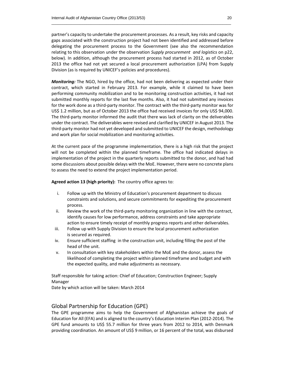partner's capacity to undertake the procurement processes. As a result, key risks and capacity gaps associated with the construction project had not been identified and addressed before delegating the procurement process to the Government (see also the recommendation relating to this observation under the observation *Supply procurement and logistics* on p22, below). In addition, although the procurement process had started in 2012, as of October 2013 the office had not yet secured a local procurement authorization (LPA) from Supply Division (as is required by UNICEF's policies and procedures).

*Monitoring:* The NGO, hired by the office, had not been delivering as expected under their contract, which started in February 2013. For example, while it claimed to have been performing community mobilization and to be monitoring construction activities, it had not submitted monthly reports for the last five months. Also, it had not submitted any invoices for the work done as a third-party monitor. The contract with the third-party monitor was for US\$ 1.2 million, but as of October 2013 the office had received invoices for only US\$ 94,000. The third-party monitor informed the audit that there was lack of clarity on the deliverables under the contract. The deliverables were revised and clarified by UNICEF in August 2013. The third‐party monitor had not yet developed and submitted to UNICEF the design, methodology and work plan for social mobilization and monitoring activities.

At the current pace of the programme implementation, there is a high risk that the project will not be completed within the planned timeframe. The office had indicated delays in implementation of the project in the quarterly reports submitted to the donor, and had had some discussions about possible delays with the MoE. However, there were no concrete plans to assess the need to extend the project implementation period.

**Agreed action 13 (high priority):** The country office agrees to:

- i. Follow up with the Ministry of Education's procurement department to discuss constraints and solutions, and secure commitments for expediting the procurement process.
- ii. Review the work of the third‐party monitoring organization in line with the contract, identify causes for low performance, address constraints and take appropriate action to ensure timely receipt of monthly progress reports and other deliverables.
- iii. Follow up with Supply Division to ensure the local procurement authorization is secured as required.
- iv. Ensure sufficient staffing in the construction unit, including filling the post of the head of the unit.
- v. In consultation with key stakeholders within the MoE and the donor, assess the likelihood of completing the project within planned timeframe and budget and with the expected quality, and make adjustments as necessary.

Staff responsible for taking action: Chief of Education; Construction Engineer; Supply Manager

Date by which action will be taken: March 2014

## Global Partnership for Education (GPE)

The GPE programme aims to help the Government of Afghanistan achieve the goals of Education for All (EFA) and is aligned to the country's Education Interim Plan (2012‐2014). The GPE fund amounts to US\$ 55.7 million for three years from 2012 to 2014, with Denmark providing coordination. An amount of US\$ 9 million, or 16 percent of the total, was disbursed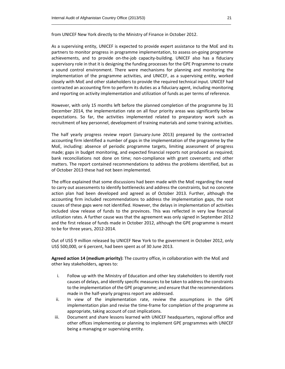from UNICEF New York directly to the Ministry of Finance in October 2012.

As a supervising entity, UNICEF is expected to provide expert assistance to the MoE and its partners to monitor progress in programme implementation, to assess on‐going programme achievements, and to provide on-the-job capacity-building. UNICEF also has a fiduciary supervisory role in that it is designing the funding processes for the GPE Programme to create a sound control environment. There were mechanisms for planning and monitoring the implementation of the programme activities, and UNICEF, as a supervising entity, worked closely with MoE and other stakeholders to provide the required technical input. UNICEF had contracted an accounting firm to perform its duties as a fiduciary agent, including monitoring and reporting on activity implementation and utilization of funds as per terms of reference.

\_\_\_\_\_\_\_\_\_\_\_\_\_\_\_\_\_\_\_\_\_\_\_\_\_\_\_\_\_\_\_\_\_\_\_\_\_\_\_\_\_\_\_\_\_\_\_\_\_\_\_\_\_\_\_\_\_\_\_\_\_\_\_\_\_\_\_\_\_\_\_\_\_\_\_\_\_\_\_\_\_\_

However, with only 15 months left before the planned completion of the programme by 31 December 2014, the implementation rate on all four priority areas was significantly below expectations. So far, the activities implemented related to preparatory work such as recruitment of key personnel, development of training materials and some training activities.

The half yearly progress review report (January‐June 2013) prepared by the contracted accounting firm identified a number of gaps in the implementation of the programme by the MoE, including: absence of periodic programme targets, limiting assessment of progress made; gaps in budget monitoring, and expected financial reports not produced as required; bank reconciliations not done on time; non-compliance with grant covenants; and other matters. The report contained recommendations to address the problems identified, but as of October 2013 these had not been implemented.

The office explained that some discussions had been made with the MoE regarding the need to carry out assessments to identify bottlenecks and address the constraints, but no concrete action plan had been developed and agreed as of October 2013. Further, although the accounting firm included recommendations to address the implementation gaps, the root causes of these gaps were not identified. However, the delays in implementation of activities included slow release of funds to the provinces. This was reflected in very low financial utilization rates. A further cause was that the agreement was only signed in September 2012 and the first release of funds made in October 2012, although the GPE programme is meant to be for three years, 2012‐2014.

Out of US\$ 9 million released by UNICEF New York to the government in October 2012, only US\$ 500,000, or 6 percent, had been spent as of 30 June 2013.

**Agreed action 14 (medium priority):** The country office, in collaboration with the MoE and other key stakeholders, agrees to:

- i. Follow up with the Ministry of Education and other key stakeholders to identify root causes of delays, and identify specific measuresto be taken to addressthe constraints to the implementation of the GPE programme; and ensure that the recommendations made in the half‐yearly progress report are addressed.
- ii. In view of the implementation rate, review the assumptions in the GPE implementation plan and revise the time-frame for completion of the programme as appropriate, taking account of cost implications.
- iii. Document and share lessons learned with UNICEF headquarters, regional office and other offices implementing or planning to implement GPE programmes with UNICEF being a managing or supervising entity.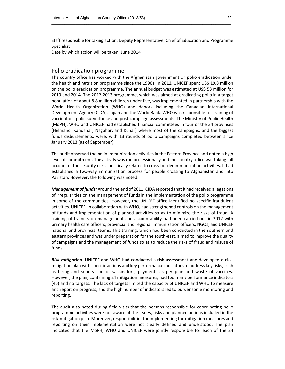Staff responsible for taking action: Deputy Representative, Chief of Education and Programme Specialist Date by which action will be taken: June 2014

Polio eradication programme

The country office has worked with the Afghanistan government on polio eradication under the health and nutrition programme since the 1990s. In 2012, UNICEF spent US\$ 19.8 million on the polio eradication programme. The annual budget was estimated at US\$ 53 million for 2013 and 2014. The 2012‐2013 programme, which was aimed at eradicating polio in a target population of about 8.8 million children under five, was implemented in partnership with the World Health Organization (WHO) and donors including the Canadian International Development Agency (CIDA), Japan and the World Bank. WHO was responsible for training of vaccinators, polio surveillance and post-campaign assessments. The Ministry of Public Health (MoPH), WHO and UNICEF had established financial committees in four of the 34 provinces (Helmand, Kandahar, Nagahar, and Kunar) where most of the campaigns, and the biggest funds disbursements, were, with 13 rounds of polio campaigns completed between since January 2013 (as of September).

The audit observed the polio immunization activities in the Eastern Province and noted a high level of commitment. The activity was run professionally and the country office was taking full account of the security risks specifically related to cross-border immunization activities. It had established a two‐way immunization process for people crossing to Afghanistan and into Pakistan. However, the following was noted.

*Management of funds:* Around the end of 2011, CIDA reported that it had received allegations of irregularities on the management of funds in the implementation of the polio programme in some of the communities. However, the UNICEF office identified no specific fraudulent activities. UNICEF, in collaboration with WHO, had strengthened controls on the management of funds and implementation of planned activities so as to minimize the risks of fraud. A training of trainers on management and accountability had been carried out in 2012 with primary health care officers, provincial and regional immunization officers, NGOs, and UNICEF national and provincial teams. This training, which had been conducted in the southern and eastern provinces and was under preparation for the south-east, aimed to improve the quality of campaigns and the management of funds so as to reduce the risks of fraud and misuse of funds.

*Risk mitigation:* UNICEF and WHO had conducted a risk assessment and developed a risk‐ mitigation plan with specific actions and key performance indicators to address key risks, such as hiring and supervision of vaccinators, payments as per plan and waste of vaccines. However, the plan, containing 24 mitigation measures, had too many performance indicators (46) and no targets. The lack of targets limited the capacity of UNICEF and WHO to measure and report on progress, and the high number of indicators led to burdensome monitoring and reporting.

The audit also noted during field visits that the persons responsible for coordinating polio programme activities were not aware of the issues, risks and planned actions included in the risk-mitigation plan. Moreover, responsibilities for implementing the mitigation measures and reporting on their implementation were not clearly defined and understood. The plan indicated that the MoPH, WHO and UNICEF were jointly responsible for each of the 24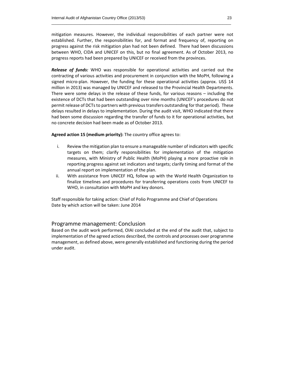mitigation measures. However, the individual responsibilities of each partner were not established. Further, the responsibilities for, and format and frequency of, reporting on progress against the risk mitigation plan had not been defined. There had been discussions between WHO, CIDA and UNICEF on this, but no final agreement. As of October 2013, no progress reports had been prepared by UNICEF or received from the provinces.

*Release of funds:* WHO was responsible for operational activities and carried out the contracting of various activities and procurement in conjunction with the MoPH, following a signed micro-plan. However, the funding for these operational activities (approx. US\$ 14 million in 2013) was managed by UNICEF and released to the Provincial Health Departments. There were some delays in the release of these funds, for various reasons – including the existence of DCTs that had been outstanding over nine months (UNICEF's procedures do not permit release of DCTs to partners with previous transfers outstanding for that period). These delays resulted in delays to implementation. During the audit visit, WHO indicated that there had been some discussion regarding the transfer of funds to it for operational activities, but no concrete decision had been made as of October 2013.

**Agreed action 15 (medium priority):** The country office agrees to:

- i. Review the mitigation plan to ensure a manageable number of indicators with specific targets on them; clarify responsibilities for implementation of the mitigation measures, with Ministry of Public Health (MoPH) playing a more proactive role in reporting progress against set indicators and targets; clarify timing and format of the annual report on implementation of the plan.
- ii. With assistance from UNICEF HQ, follow up with the World Health Organization to finalize timelines and procedures for transferring operations costs from UNICEF to WHO, in consultation with MoPH and key donors.

Staff responsible for taking action: Chief of Polio Programme and Chief of Operations Date by which action will be taken: June 2014

## Programme management: Conclusion

Based on the audit work performed, OIAI concluded at the end of the audit that, subject to implementation of the agreed actions described, the controls and processes over programme management, as defined above, were generally established and functioning during the period under audit.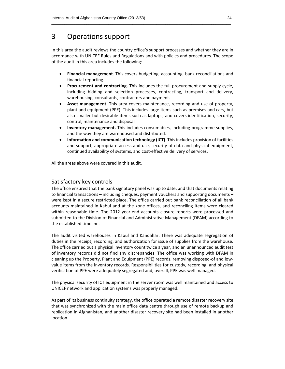## 3 Operations support

In this area the audit reviews the country office's support processes and whether they are in accordance with UNICEF Rules and Regulations and with policies and procedures. The scope of the audit in this area includes the following:

- **Financial management**. This covers budgeting, accounting, bank reconciliations and financial reporting.
- **Procurement and contracting.** This includes the full procurement and supply cycle, including bidding and selection processes, contracting, transport and delivery, warehousing, consultants, contractors and payment.
- **Asset management**. This area covers maintenance, recording and use of property, plant and equipment (PPE). This includes large items such as premises and cars, but also smaller but desirable items such as laptops; and covers identification, security, control, maintenance and disposal.
- **Inventory management.** This includes consumables, including programme supplies, and the way they are warehoused and distributed.
- **Information and communication technology (ICT)**. This includes provision of facilities and support, appropriate access and use, security of data and physical equipment, continued availability of systems, and cost-effective delivery of services.

All the areas above were covered in this audit.

## Satisfactory key controls

The office ensured that the bank signatory panel was up to date, and that documents relating to financial transactions – including cheques, payment vouchers and supporting documents – were kept in a secure restricted place. The office carried out bank reconciliation of all bank accounts maintained in Kabul and at the zone offices, and reconciling items were cleared within reasonable time. The 2012 year-end accounts closure reports were processed and submitted to the Division of Financial and Administrative Management (DFAM) according to the established timeline.

The audit visited warehouses in Kabul and Kandahar. There was adequate segregation of duties in the receipt, recording, and authorization for issue of supplies from the warehouse. The office carried out a physical inventory count twice a year, and an unannounced audit test of inventory records did not find any discrepancies. The office was working with DFAM in cleaning up the Property, Plant and Equipment (PPE) records, removing disposed‐of and low‐ value items from the inventory records. Responsibilities for custody, recording, and physical verification of PPE were adequately segregated and, overall, PPE was well managed.

The physical security of ICT equipment in the server room was well maintained and access to UNICEF network and application systems was properly managed.

As part of its business continuity strategy, the office operated a remote disaster recovery site that was synchronized with the main office data centre through use of remote backup and replication in Afghanistan, and another disaster recovery site had been installed in another location.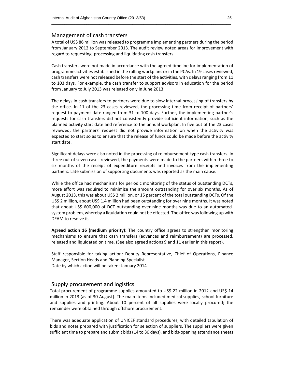## Management of cash transfers

A total of US\$ 86 million wasreleased to programme implementing partners during the period from January 2012 to September 2013. The audit review noted areas for improvement with regard to requesting, processing and liquidating cash transfers.

Cash transfers were not made in accordance with the agreed timeline for implementation of programme activities established in the rolling workplans or in the PCAs. In 19 cases reviewed, cash transfers were not released before the start of the activities, with delays ranging from 11 to 103 days. For example, the cash transfer to support advisors in education for the period from January to July 2013 was released only in June 2013.

The delays in cash transfers to partners were due to slow internal processing of transfers by the office. In 11 of the 23 cases reviewed, the processing time from receipt of partners' request to payment date ranged from 31 to 100 days. Further, the implementing partner's requests for cash transfers did not consistently provide sufficient information, such as the planned activity start date and reference to the annual workplan. In five out of the 23 cases reviewed, the partners' request did not provide information on when the activity was expected to start so as to ensure that the release of funds could be made before the activity start date.

Significant delays were also noted in the processing of reimbursement-type cash transfers. In three out of seven cases reviewed, the payments were made to the partners within three to six months of the receipt of expenditure receipts and invoices from the implementing partners. Late submission of supporting documents was reported as the main cause.

While the office had mechanisms for periodic monitoring of the status of outstanding DCTs, more effort was required to minimize the amount outstanding for over six months. As of August 2013, this was about US\$ 2 million, or 15 percent of the total outstanding DCTs. Of the US\$ 2 million, about US\$ 1.4 million had been outstanding for over nine months. It was noted that about US\$ 600,000 of DCT outstanding over nine months was due to an automatedsystem problem, whereby a liquidation could not be effected. The office was following up with DFAM to resolve it.

**Agreed action 16 (medium priority):** The country office agrees to strengthen monitoring mechanisms to ensure that cash transfers (advances and reimbursement) are processed, released and liquidated on time. (See also agreed actions 9 and 11 earlier in this report).

Staff responsible for taking action: Deputy Representative, Chief of Operations, Finance Manager, Section Heads and Planning Specialist Date by which action will be taken: January 2014

## Supply procurement and logistics

Total procurement of programme supplies amounted to US\$ 22 million in 2012 and US\$ 14 million in 2013 (as of 30 August). The main items included medical supplies, school furniture and supplies and printing. About 10 percent of all supplies were locally procured; the remainder were obtained through offshore procurement.

There was adequate application of UNICEF standard procedures, with detailed tabulation of bids and notes prepared with justification for selection of suppliers. The suppliers were given sufficient time to prepare and submit bids (14 to 30 days), and bids‐opening attendance sheets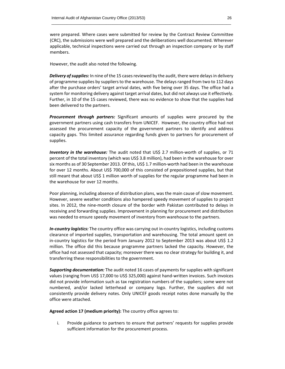were prepared. Where cases were submitted for review by the Contract Review Committee (CRC), the submissions were well prepared and the deliberations well documented. Wherever applicable, technical inspections were carried out through an inspection company or by staff members.

However, the audit also noted the following.

*Delivery of supplies:* In nine of the 15 cases reviewed by the audit, there were delays in delivery of programme supplies by suppliers to the warehouse. The delays ranged from two to 112 days after the purchase orders' target arrival dates, with five being over 35 days. The office had a system for monitoring delivery against target arrival dates, but did not always use it effectively. Further, in 10 of the 15 cases reviewed, there was no evidence to show that the supplies had been delivered to the partners.

*Procurement through partners:* Significant amounts of supplies were procured by the government partners using cash transfers from UNICEF. However, the country office had not assessed the procurement capacity of the government partners to identify and address capacity gaps. This limited assurance regarding funds given to partners for procurement of supplies.

*Inventory in the warehouse:* The audit noted that US\$ 2.7 million‐worth of supplies, or 71 percent of the total inventory (which was US\$ 3.8 million), had been in the warehouse for over six months as of 30 September 2013. Of this, US\$ 1.7 million-worth had been in the warehouse for over 12 months. About US\$ 700,000 of this consisted of prepositioned supplies, but that still meant that about US\$ 1 million worth of supplies for the regular programme had been in the warehouse for over 12 months.

Poor planning, including absence of distribution plans, was the main cause of slow movement. However, severe weather conditions also hampered speedy movement of supplies to project sites. In 2012, the nine-month closure of the border with Pakistan contributed to delays in receiving and forwarding supplies. Improvement in planning for procurement and distribution was needed to ensure speedy movement of inventory from warehouse to the partners.

*In‐country logistics:* The country office was carrying out in‐country logistics, including customs clearance of imported supplies, transportation and warehousing. The total amount spent on in-country logistics for the period from January 2012 to September 2013 was about US\$ 1.2 million. The office did this because programme partners lacked the capacity. However, the office had not assessed that capacity; moreover there was no clear strategy for building it, and transferring these responsibilities to the government.

*Supporting documentation:* The audit noted 16 cases of payments for supplies with significant values (ranging from US\$ 17,000 to US\$ 325,000) against hand-written invoices. Such invoices did not provide information such as tax registration numbers of the suppliers; some were not numbered, and/or lacked letterhead or company logo. Further, the suppliers did not consistently provide delivery notes. Only UNICEF goods receipt notes done manually by the office were attached.

**Agreed action 17 (medium priority):** The country office agrees to:

i. Provide guidance to partners to ensure that partners' requests for supplies provide sufficient information for the procurement process.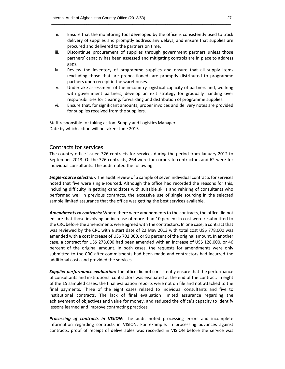- ii. Ensure that the monitoring tool developed by the office is consistently used to track delivery of supplies and promptly address any delays, and ensure that supplies are procured and delivered to the partners on time.
- iii. Discontinue procurement of supplies through government partners unless those partners' capacity has been assessed and mitigating controls are in place to address gaps.
- iv. Review the inventory of programme supplies and ensure that all supply items (excluding those that are prepositioned) are promptly distributed to programme partners upon receipt in the warehouses.
- v. Undertake assessment of the in‐country logistical capacity of partners and, working with government partners, develop an exit strategy for gradually handing over responsibilities for clearing, forwarding and distribution of programme supplies.
- vi. Ensure that, for significant amounts, proper invoices and delivery notes are provided for supplies received from the suppliers.

Staff responsible for taking action: Supply and Logistics Manager Date by which action will be taken: June 2015

## Contracts for services

The country office issued 326 contracts for services during the period from January 2012 to September 2013. Of the 326 contracts, 264 were for corporate contractors and 62 were for individual consultants. The audit noted the following.

*Single‐source selection:* The audit review of a sample of seven individual contracts for services noted that five were single‐sourced. Although the office had recorded the reasons for this, including difficulty in getting candidates with suitable skills and rehiring of consultants who performed well in previous contracts, the excessive use of single sourcing in the selected sample limited assurance that the office was getting the best services available.

*Amendments to contracts:* Where there were amendments to the contracts, the office did not ensure that those involving an increase of more than 10 percent in cost were resubmitted to the CRC before the amendments were agreed with the contractors. In one case, a contract that was reviewed by the CRC with a start date of 22 May 2013 with total cost US\$ 778,000 was amended with a cost increase of US\$ 702,000, or 90 percent of the original amount. In another case, a contract for US\$ 278,000 had been amended with an increase of US\$ 128,000, or 46 percent of the original amount. In both cases, the requests for amendments were only submitted to the CRC after commitments had been made and contractors had incurred the additional costs and provided the services.

*Supplier performance evaluation:* The office did not consistently ensure that the performance of consultants and institutional contractors was evaluated at the end of the contract. In eight of the 15 sampled cases, the final evaluation reports were not on file and not attached to the final payments. Three of the eight cases related to individual consultants and five to institutional contracts. The lack of final evaluation limited assurance regarding the achievement of objectives and value for money, and reduced the office's capacity to identify lessons learned and improve contracting practices.

*Processing of contracts in VISION:* The audit noted processing errors and incomplete information regarding contracts in VISION. For example, in processing advances against contracts, proof of receipt of deliverables was recorded in VISION before the service was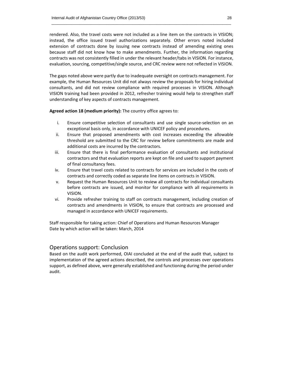rendered. Also, the travel costs were not included as a line item on the contracts in VISION; instead, the office issued travel authorizations separately. Other errors noted included extension of contracts done by issuing new contracts instead of amending existing ones because staff did not know how to make amendments. Further, the information regarding contracts was not consistently filled in under the relevant header/tabs in VISION. For instance, evaluation, sourcing, competitive/single source, and CRC review were not reflected in VISION.

The gaps noted above were partly due to inadequate oversight on contracts management. For example, the Human Resources Unit did not always review the proposals for hiring individual consultants, and did not review compliance with required processes in VISION. Although VISION training had been provided in 2012, refresher training would help to strengthen staff understanding of key aspects of contracts management.

**Agreed action 18 (medium priority):** The country office agrees to:

- i. Ensure competitive selection of consultants and use single source‐selection on an exceptional basis only, in accordance with UNICEF policy and procedures.
- ii. Ensure that proposed amendments with cost increases exceeding the allowable threshold are submitted to the CRC for review before commitments are made and additional costs are incurred by the contractors.
- iii. Ensure that there is final performance evaluation of consultants and institutional contractors and that evaluation reports are kept on file and used to support payment of final consultancy fees.
- iv. Ensure that travel costs related to contracts for services are included in the costs of contracts and correctly coded as separate line items on contracts in VISION.
- v. Request the Human Resources Unit to review all contracts for individual consultants before contracts are issued, and monitor for compliance with all requirements in VISION.
- vi. Provide refresher training to staff on contracts management, including creation of contracts and amendments in VISION, to ensure that contracts are processed and managed in accordance with UNICEF requirements.

Staff responsible for taking action: Chief of Operations and Human Resources Manager Date by which action will be taken: March, 2014

## Operations support: Conclusion

Based on the audit work performed, OIAI concluded at the end of the audit that, subject to implementation of the agreed actions described, the controls and processes over operations support, as defined above, were generally established and functioning during the period under audit.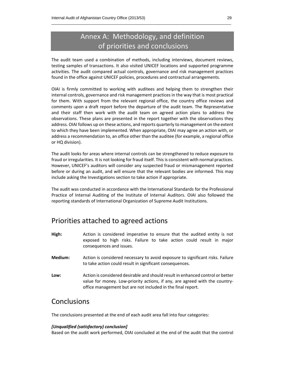## Annex A: Methodology, and definition of priorities and conclusions

The audit team used a combination of methods, including interviews, document reviews, testing samples of transactions. It also visited UNICEF locations and supported programme activities. The audit compared actual controls, governance and risk management practices found in the office against UNICEF policies, procedures and contractual arrangements.

OIAI is firmly committed to working with auditees and helping them to strengthen their internal controls, governance and risk management practices in the way that is most practical for them. With support from the relevant regional office, the country office reviews and comments upon a draft report before the departure of the audit team. The Representative and their staff then work with the audit team on agreed action plans to address the observations. These plans are presented in the report together with the observations they address. OIAI follows up on these actions, and reports quarterly to management on the extent to which they have been implemented. When appropriate, OIAI may agree an action with, or address a recommendation to, an office other than the auditee (for example, a regional office or HQ division).

The audit looks for areas where internal controls can be strengthened to reduce exposure to fraud or irregularities. It is not looking for fraud itself. This is consistent with normal practices. However, UNICEF's auditors will consider any suspected fraud or mismanagement reported before or during an audit, and will ensure that the relevant bodies are informed. This may include asking the Investigations section to take action if appropriate.

The audit was conducted in accordance with the International Standards for the Professional Practice of Internal Auditing of the Institute of Internal Auditors. OIAI also followed the reporting standards of International Organization of Supreme Audit Institutions.

## Priorities attached to agreed actions

- **High:** Action is considered imperative to ensure that the audited entity is not exposed to high risks. Failure to take action could result in major consequences and issues.
- **Medium:** Action is considered necessary to avoid exposure to significant risks. Failure to take action could result in significant consequences.
- **Low:** Action is considered desirable and should result in enhanced control or better value for money. Low-priority actions, if any, are agreed with the countryoffice management but are not included in the final report.

## **Conclusions**

The conclusions presented at the end of each audit area fall into four categories:

## *[Unqualified (satisfactory) conclusion]*

Based on the audit work performed, OIAI concluded at the end of the audit that the control